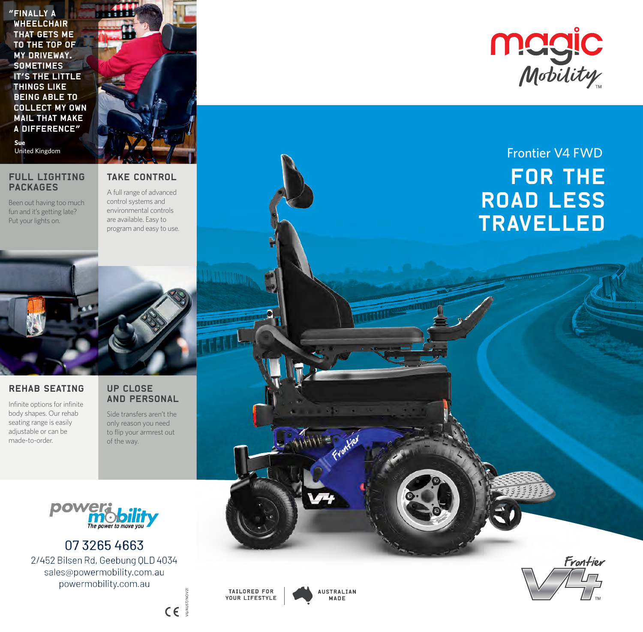"Finally a **WHEELCHAIR** that gets me to the top of my driveway. **SOMETIMES** it's the little things like being able to collect my own mail that make a difference" **Sue**

#### FULL LIGHTING PACKAGES

Been out having too much fun and it's getting late? Put your lights on.

### TAKE CONTROL

A full range of advanced control systems and environmental controls are available. Easy to program and easy to use.



#### REHAB SEATING

Infinite options for infinite body shapes. Our rehab seating range is easily adjustable or can be made-to-order.

#### UP CLOSE AND PERSONAL

Side transfers aren't the only reason you need to flip your armrest out of the way.



0732654663 2/452 Bilsen Rd, Geebung QLD 4034 sales@powermobility.com.au powermobility.com.au



V6/AUST/NOV21

 $C\in \mathbb{R}^{\frac{1}{3}}$ 

**AUSTRALIAN** MADE



## United Kingdom **Figure 1, 1999, The Contract of the Contract of Contract of the Contract of Text** FOR THE ROAD LESS TRAVELLED